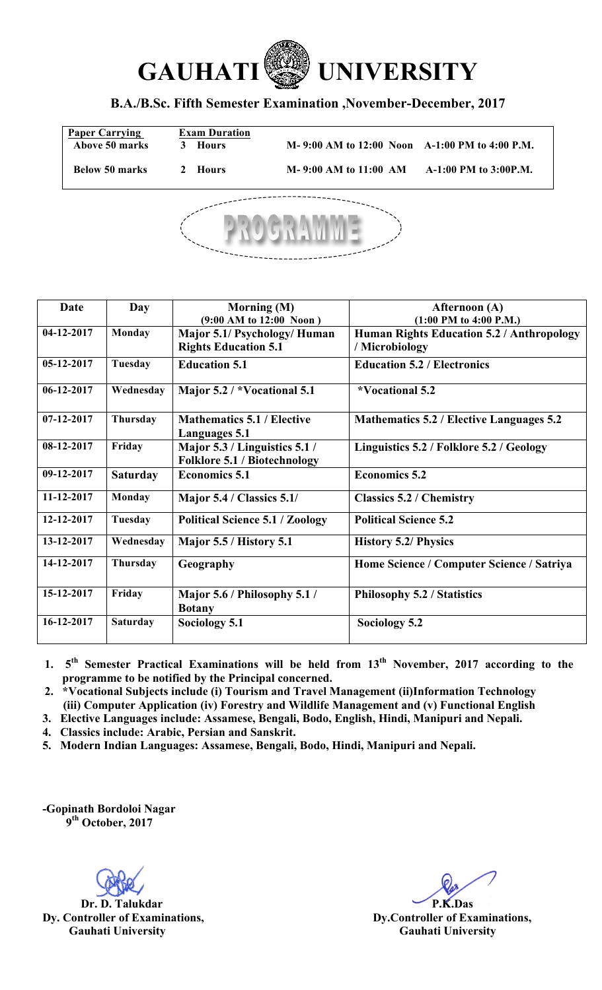

## **B.A./B.Sc. Fifth Semester Examination ,November-December, 2017**

| <b>Paper Carrying</b><br><b>Above 50 marks</b> | <b>Exam Duration</b><br>3 Hours | M-9:00 AM to 12:00 Noon A-1:00 PM to 4:00 P.M. |                       |  |  |
|------------------------------------------------|---------------------------------|------------------------------------------------|-----------------------|--|--|
| Below 50 marks                                 | 2 Hours                         | $M-9:00 AM$ to $11:00 AM$                      | A-1:00 PM to 3:00P.M. |  |  |
|                                                |                                 |                                                |                       |  |  |



| Date         | Day             | Morning (M)<br>$(9:00 \text{ AM to } 12:00 \text{ Noon})$            | Afternoon (A)<br>$(1:00$ PM to 4:00 P.M.)                   |
|--------------|-----------------|----------------------------------------------------------------------|-------------------------------------------------------------|
| 04-12-2017   | <b>Monday</b>   | Major 5.1/ Psychology/ Human<br><b>Rights Education 5.1</b>          | Human Rights Education 5.2 / Anthropology<br>/ Microbiology |
| 05-12-2017   | <b>Tuesday</b>  | <b>Education 5.1</b><br><b>Education 5.2 / Electronics</b>           |                                                             |
| $06-12-2017$ | Wednesday       | Major 5.2 / *Vocational 5.1                                          | *Vocational 5.2                                             |
| $07-12-2017$ | <b>Thursday</b> | <b>Mathematics 5.1 / Elective</b><br><b>Languages 5.1</b>            | Mathematics 5.2 / Elective Languages 5.2                    |
| 08-12-2017   | Friday          | Major 5.3 / Linguistics 5.1 /<br><b>Folklore 5.1 / Biotechnology</b> | Linguistics 5.2 / Folklore 5.2 / Geology                    |
| 09-12-2017   | <b>Saturday</b> | <b>Economics 5.1</b>                                                 | <b>Economics 5.2</b>                                        |
| 11-12-2017   | Monday          | Major 5.4 / Classics 5.1/                                            | <b>Classics 5.2 / Chemistry</b>                             |
| 12-12-2017   | <b>Tuesday</b>  | <b>Political Science 5.1 / Zoology</b>                               | <b>Political Science 5.2</b>                                |
| 13-12-2017   | Wednesday       | Major 5.5 / History 5.1                                              | <b>History 5.2/ Physics</b>                                 |
| 14-12-2017   | Thursday        | Geography                                                            | Home Science / Computer Science / Satriya                   |
| 15-12-2017   | Friday          | Major 5.6 / Philosophy 5.1 /<br><b>Botany</b>                        | Philosophy 5.2 / Statistics                                 |
| 16-12-2017   | <b>Saturday</b> | Sociology 5.1                                                        | Sociology 5.2                                               |

**1. 5th Semester Practical Examinations will be held from 13th November, 2017 according to the programme to be notified by the Principal concerned.** 

**2. \*Vocational Subjects include (i) Tourism and Travel Management (ii)Information Technology (iii) Computer Application (iv) Forestry and Wildlife Management and (v) Functional English**

**3. Elective Languages include: Assamese, Bengali, Bodo, English, Hindi, Manipuri and Nepali.**

**4. Classics include: Arabic, Persian and Sanskrit.**

**5. Modern Indian Languages: Assamese, Bengali, Bodo, Hindi, Manipuri and Nepali.** 

**-Gopinath Bordoloi Nagar 9th October, 2017**

**Dr. D. Talukdar P.K.Das Dy. Controller of Examinations, Dy.Controller of Examinations, Gauhati University Gauhati University**